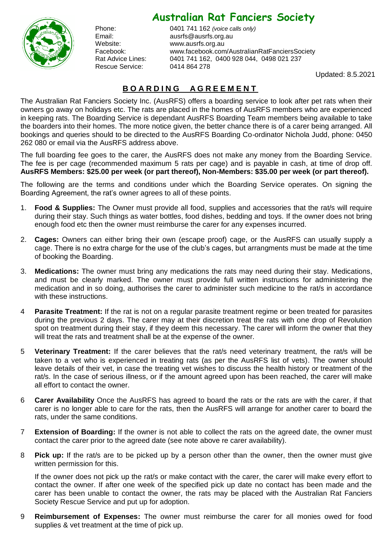## **Australian Rat Fanciers Society**



Rescue Service: 0414 864 278

Phone: 0401 741 162 *(voice calls only)* Email: ausrfs@ausrfs.org.au Website: [www.ausrfs.org.au](http://www.ausrfs.org.au/) Facebook: www.facebook.com/AustralianRatFanciersSociety Rat Advice Lines: 0401 741 162, 0400 928 044, 0498 021 237

Updated: 8.5.2021

## **B O A R D I N G A G R E E M E N T**

The Australian Rat Fanciers Society Inc. (AusRFS) offers a boarding service to look after pet rats when their owners go away on holidays etc. The rats are placed in the homes of AusRFS members who are experienced in keeping rats. The Boarding Service is dependant AusRFS Boarding Team members being available to take the boarders into their homes. The more notice given, the better chance there is of a carer being arranged. All bookings and queries should to be directed to the AusRFS Boarding Co-ordinator Nichola Judd, phone: 0450 262 080 or email via the AusRFS address above.

The full boarding fee goes to the carer, the AusRFS does not make any money from the Boarding Service. The fee is per cage (recommended maximum 5 rats per cage) and is payable in cash, at time of drop off. **AusRFS Members: \$25.00 per week (or part thereof), Non-Members: \$35.00 per week (or part thereof).**

The following are the terms and conditions under which the Boarding Service operates. On signing the Boarding Agreement, the rat's owner agrees to all of these points.

- 1. **Food & Supplies:** The Owner must provide all food, supplies and accessories that the rat/s will require during their stay. Such things as water bottles, food dishes, bedding and toys. If the owner does not bring enough food etc then the owner must reimburse the carer for any expenses incurred.
- 2. **Cages:** Owners can either bring their own (escape proof) cage, or the AusRFS can usually supply a cage. There is no extra charge for the use of the club's cages, but arrangments must be made at the time of booking the Boarding.
- 3. **Medications:** The owner must bring any medications the rats may need during their stay. Medications, and must be clearly marked. The owner must provide full written instructions for administering the medication and in so doing, authorises the carer to administer such medicine to the rat/s in accordance with these instructions.
- 4 **Parasite Treatment:** If the rat is not on a regular parasite treatment regime or been treated for parasites during the previous 2 days. The carer may at their discretion treat the rats with one drop of Revolution spot on treatment during their stay, if they deem this necessary. The carer will inform the owner that they will treat the rats and treatment shall be at the expense of the owner.
- 5 **Veterinary Treatment:** If the carer believes that the rat/s need veterinary treatment, the rat/s will be taken to a vet who is experienced in treating rats (as per the AusRFS list of vets). The owner should leave details of their vet, in case the treating vet wishes to discuss the health history or treatment of the rat/s. In the case of serious illness, or if the amount agreed upon has been reached, the carer will make all effort to contact the owner.
- 6 **Carer Availability** Once the AusRFS has agreed to board the rats or the rats are with the carer, if that carer is no longer able to care for the rats, then the AusRFS will arrange for another carer to board the rats, under the same conditions.
- 7 **Extension of Boarding:** If the owner is not able to collect the rats on the agreed date, the owner must contact the carer prior to the agreed date (see note above re carer availability).
- 8 **Pick up:** If the rat/s are to be picked up by a person other than the owner, then the owner must give written permission for this.

If the owner does not pick up the rat/s or make contact with the carer, the carer will make every effort to contact the owner. If after one week of the specified pick up date no contact has been made and the carer has been unable to contact the owner, the rats may be placed with the Australian Rat Fanciers Society Rescue Service and put up for adoption.

9 **Reimbursement of Expenses:** The owner must reimburse the carer for all monies owed for food supplies & vet treatment at the time of pick up.